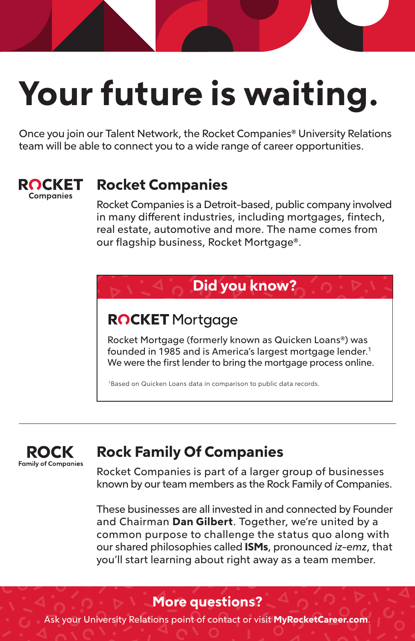# **Your future is waiting.**

Once you join our Talent Network, the Rocket Companies® University Relations team will be able to connect you to a wide range of career opportunities.



## **Rocket Companies**

Rocket Companies is a Detroit-based, public company involved in many different industries, including mortgages, fintech, real estate, automotive and more. The name comes from our flagship business, Rocket Mortgage®.



## **ROCKET** Mortgage

Rocket Mortgage (formerly known as Quicken Loans®) was founded in 1985 and is America's largest mortgage lender.<sup>1</sup> We were the first lender to bring the mortgage process online.

<sup>1</sup>Based on Quicken Loans data in comparison to public data records.

#### ROCK **Family of Companies**

## **Rock Family Of Companies**

Rocket Companies is part of a larger group of businesses known by our team members as the Rock Family of Companies.

These businesses are all invested in and connected by Founder and Chairman **Dan Gilbert**. Together, we're united by a common purpose to challenge the status quo along with our shared philosophies called **ISMs**, pronounced *iz-emz*, that you'll start learning about right away as a team member.

### **More questions?**

Ask your University Relations point of contact or visit **MyRocketCareer.com**.